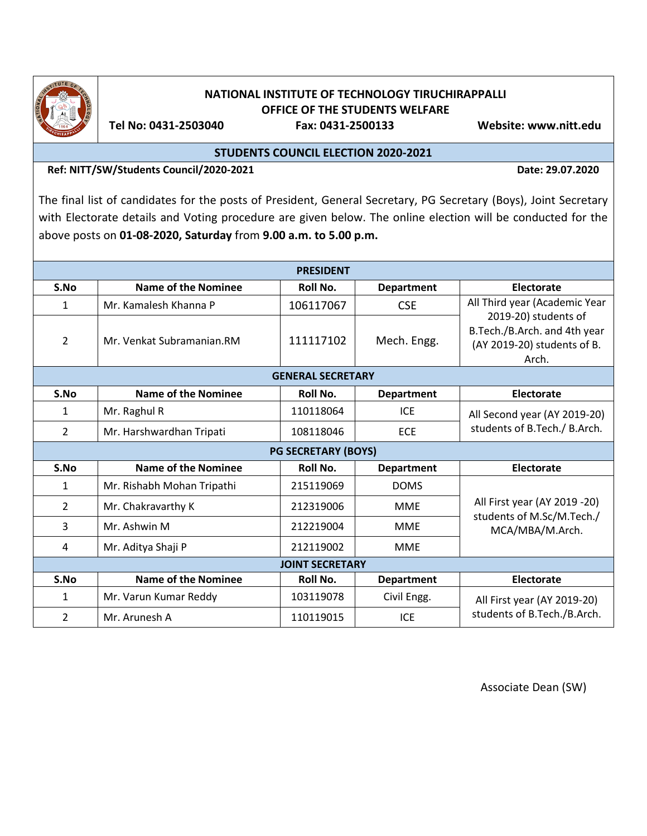

## **NATIONAL INSTITUTE OF TECHNOLOGY TIRUCHIRAPPALLI OFFICE OF THE STUDENTS WELFARE**

 **Tel No: 0431-2503040 Fax: 0431-2500133 Website: www.nitt.edu**

**STUDENTS COUNCIL ELECTION 2020-2021**

**Ref: NITT/SW/Students Council/2020-2021 Date: 29.07.2020** 

The final list of candidates for the posts of President, General Secretary, PG Secretary (Boys), Joint Secretary with Electorate details and Voting procedure are given below. The online election will be conducted for the above posts on **01-08-2020, Saturday** from **9.00 a.m. to 5.00 p.m.**

| <b>PRESIDENT</b>           |                            |           |                   |                                                                                              |
|----------------------------|----------------------------|-----------|-------------------|----------------------------------------------------------------------------------------------|
| S.No                       | <b>Name of the Nominee</b> | Roll No.  | <b>Department</b> | Electorate                                                                                   |
| 1                          | Mr. Kamalesh Khanna P      | 106117067 | <b>CSE</b>        | All Third year (Academic Year                                                                |
| $\overline{2}$             | Mr. Venkat Subramanian.RM  | 111117102 | Mech. Engg.       | 2019-20) students of<br>B.Tech./B.Arch. and 4th year<br>(AY 2019-20) students of B.<br>Arch. |
| <b>GENERAL SECRETARY</b>   |                            |           |                   |                                                                                              |
| S.No                       | <b>Name of the Nominee</b> | Roll No.  | <b>Department</b> | <b>Electorate</b>                                                                            |
| 1                          | Mr. Raghul R               | 110118064 | <b>ICE</b>        | All Second year (AY 2019-20)<br>students of B.Tech./ B.Arch.                                 |
| 2                          | Mr. Harshwardhan Tripati   | 108118046 | <b>ECE</b>        |                                                                                              |
| <b>PG SECRETARY (BOYS)</b> |                            |           |                   |                                                                                              |
| S.No                       | Name of the Nominee        | Roll No.  | <b>Department</b> | <b>Electorate</b>                                                                            |
| 1                          | Mr. Rishabh Mohan Tripathi | 215119069 | <b>DOMS</b>       | All First year (AY 2019 -20)<br>students of M.Sc/M.Tech./<br>MCA/MBA/M.Arch.                 |
| $\overline{2}$             | Mr. Chakravarthy K         | 212319006 | <b>MME</b>        |                                                                                              |
| 3                          | Mr. Ashwin M               | 212219004 | <b>MME</b>        |                                                                                              |
| 4                          | Mr. Aditya Shaji P         | 212119002 | <b>MME</b>        |                                                                                              |
| <b>JOINT SECRETARY</b>     |                            |           |                   |                                                                                              |
| S.No                       | <b>Name of the Nominee</b> | Roll No.  | <b>Department</b> | <b>Electorate</b>                                                                            |
| 1                          | Mr. Varun Kumar Reddy      | 103119078 | Civil Engg.       | All First year (AY 2019-20)<br>students of B.Tech./B.Arch.                                   |
| 2                          | Mr. Arunesh A              | 110119015 | <b>ICE</b>        |                                                                                              |

Associate Dean (SW)